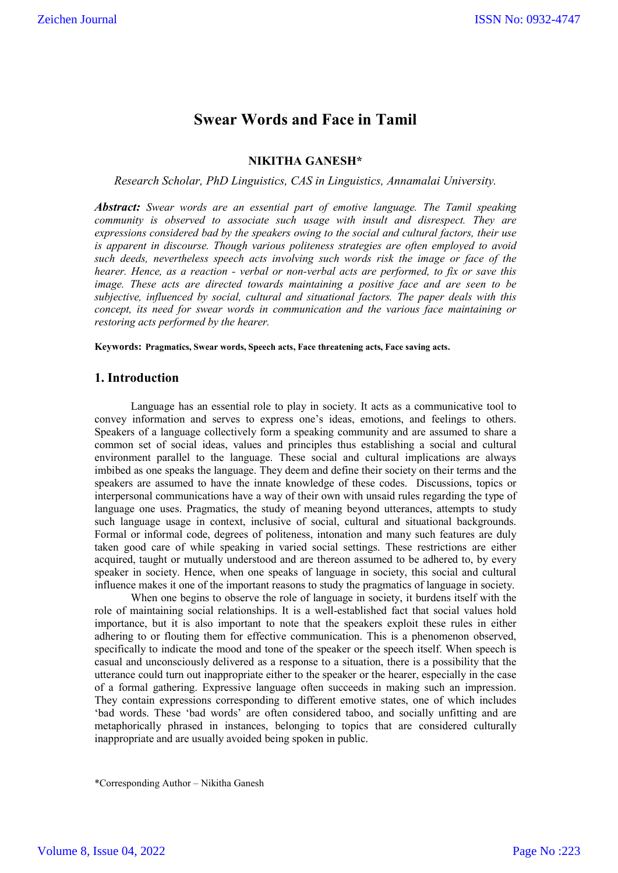# **Swear Words and Face in Tamil**

# **NIKITHA GANESH\***

*Research Scholar, PhD Linguistics, CAS in Linguistics, Annamalai University.*

*Abstract: Swear words are an essential part of emotive language. The Tamil speaking community is observed to associate such usage with insult and disrespect. They are expressions considered bad by the speakers owing to the social and cultural factors, their use is apparent in discourse. Though various politeness strategies are often employed to avoid such deeds, nevertheless speech acts involving such words risk the image or face of the hearer. Hence, as a reaction - verbal or non-verbal acts are performed, to fix or save this image. These acts are directed towards maintaining a positive face and are seen to be subjective, influenced by social, cultural and situational factors. The paper deals with this concept, its need for swear words in communication and the various face maintaining or restoring acts performed by the hearer.*

**Keywords: Pragmatics, Swear words, Speech acts, Face threatening acts, Face saving acts.**

#### **1. Introduction**

Language has an essential role to play in society. It acts as a communicative tool to convey information and serves to express one's ideas, emotions, and feelings to others. Speakers of a language collectively form a speaking community and are assumed to share a common set of social ideas, values and principles thus establishing a social and cultural environment parallel to the language. These social and cultural implications are always imbibed as one speaks the language. They deem and define their society on their terms and the speakers are assumed to have the innate knowledge of these codes. Discussions, topics or interpersonal communications have a way of their own with unsaid rules regarding the type of language one uses. Pragmatics, the study of meaning beyond utterances, attempts to study such language usage in context, inclusive of social, cultural and situational backgrounds. Formal or informal code, degrees of politeness, intonation and many such features are duly taken good care of while speaking in varied social settings. These restrictions are either acquired, taught or mutually understood and are thereon assumed to be adhered to, by every speaker in society. Hence, when one speaks of language in society, this social and cultural influence makes it one of the important reasons to study the pragmatics of language in society.

When one begins to observe the role of language in society, it burdens itself with the role of maintaining social relationships. It is a well-established fact that social values hold importance, but it is also important to note that the speakers exploit these rules in either adhering to or flouting them for effective communication. This is a phenomenon observed, specifically to indicate the mood and tone of the speaker or the speech itself. When speech is casual and unconsciously delivered as a response to a situation, there is a possibility that the utterance could turn out inappropriate either to the speaker or the hearer, especially in the case of a formal gathering. Expressive language often succeeds in making such an impression. They contain expressions corresponding to different emotive states, one of which includes 'bad words. These 'bad words' are often considered taboo, and socially unfitting and are metaphorically phrased in instances, belonging to topics that are considered culturally inappropriate and are usually avoided being spoken in public.

\*Corresponding Author – Nikitha Ganesh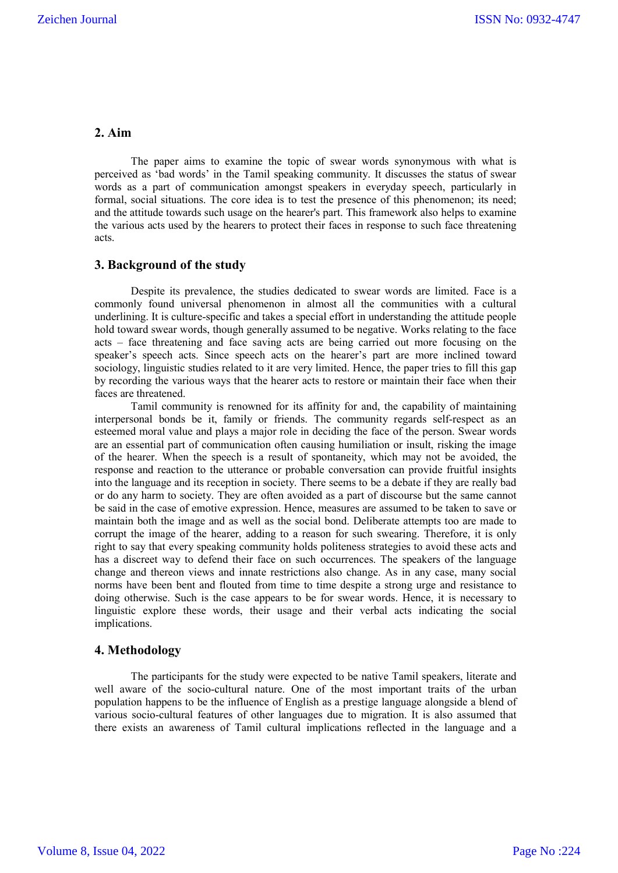# **2. Aim**

The paper aims to examine the topic of swear words synonymous with what is perceived as 'bad words' in the Tamil speaking community. It discusses the status of swear words as a part of communication amongst speakers in everyday speech, particularly in formal, social situations. The core idea is to test the presence of this phenomenon; its need; and the attitude towards such usage on the hearer's part. This framework also helps to examine the various acts used by the hearers to protect their faces in response to such face threatening acts.

#### **3. Background of the study**

Despite its prevalence, the studies dedicated to swear words are limited. Face is a commonly found universal phenomenon in almost all the communities with a cultural underlining. It is culture-specific and takes a special effort in understanding the attitude people hold toward swear words, though generally assumed to be negative. Works relating to the face acts – face threatening and face saving acts are being carried out more focusing on the speaker's speech acts. Since speech acts on the hearer's part are more inclined toward sociology, linguistic studies related to it are very limited. Hence, the paper tries to fill this gap by recording the various ways that the hearer acts to restore or maintain their face when their faces are threatened.

Tamil community is renowned for its affinity for and, the capability of maintaining interpersonal bonds be it, family or friends. The community regards self-respect as an esteemed moral value and plays a major role in deciding the face of the person. Swear words are an essential part of communication often causing humiliation or insult, risking the image of the hearer. When the speech is a result of spontaneity, which may not be avoided, the response and reaction to the utterance or probable conversation can provide fruitful insights into the language and its reception in society. There seems to be a debate if they are really bad or do any harm to society. They are often avoided as a part of discourse but the same cannot be said in the case of emotive expression. Hence, measures are assumed to be taken to save or maintain both the image and as well as the social bond. Deliberate attempts too are made to corrupt the image of the hearer, adding to a reason for such swearing. Therefore, it is only right to say that every speaking community holds politeness strategies to avoid these acts and has a discreet way to defend their face on such occurrences. The speakers of the language change and thereon views and innate restrictions also change. As in any case, many social norms have been bent and flouted from time to time despite a strong urge and resistance to doing otherwise. Such is the case appears to be for swear words. Hence, it is necessary to linguistic explore these words, their usage and their verbal acts indicating the social implications.

# **4. Methodology**

The participants for the study were expected to be native Tamil speakers, literate and well aware of the socio-cultural nature. One of the most important traits of the urban population happens to be the influence of English as a prestige language alongside a blend of various socio-cultural features of other languages due to migration. It is also assumed that there exists an awareness of Tamil cultural implications reflected in the language and a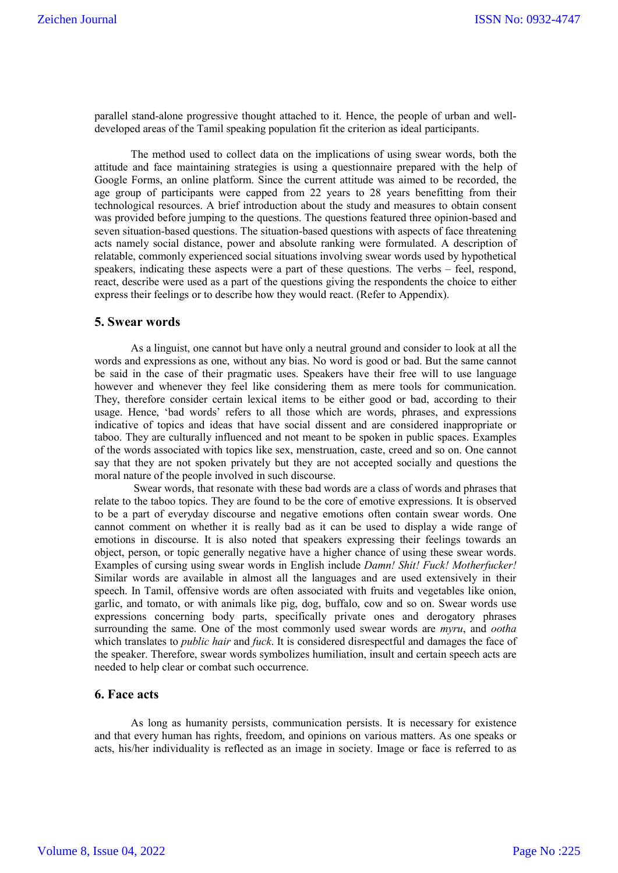parallel stand-alone progressive thought attached to it. Hence, the people of urban and welldeveloped areas of the Tamil speaking population fit the criterion as ideal participants.

The method used to collect data on the implications of using swear words, both the attitude and face maintaining strategies is using a questionnaire prepared with the help of Google Forms, an online platform. Since the current attitude was aimed to be recorded, the age group of participants were capped from 22 years to 28 years benefitting from their technological resources. A brief introduction about the study and measures to obtain consent was provided before jumping to the questions. The questions featured three opinion-based and seven situation-based questions. The situation-based questions with aspects of face threatening acts namely social distance, power and absolute ranking were formulated. A description of relatable, commonly experienced social situations involving swear words used by hypothetical speakers, indicating these aspects were a part of these questions. The verbs – feel, respond, react, describe were used as a part of the questions giving the respondents the choice to either express their feelings or to describe how they would react. (Refer to Appendix).

#### **5. Swear words**

As a linguist, one cannot but have only a neutral ground and consider to look at all the words and expressions as one, without any bias. No word is good or bad. But the same cannot be said in the case of their pragmatic uses. Speakers have their free will to use language however and whenever they feel like considering them as mere tools for communication. They, therefore consider certain lexical items to be either good or bad, according to their usage. Hence, 'bad words' refers to all those which are words, phrases, and expressions indicative of topics and ideas that have social dissent and are considered inappropriate or taboo. They are culturally influenced and not meant to be spoken in public spaces. Examples of the words associated with topics like sex, menstruation, caste, creed and so on. One cannot say that they are not spoken privately but they are not accepted socially and questions the moral nature of the people involved in such discourse.

Swear words, that resonate with these bad words are a class of words and phrases that relate to the taboo topics. They are found to be the core of emotive expressions. It is observed to be a part of everyday discourse and negative emotions often contain swear words. One cannot comment on whether it is really bad as it can be used to display a wide range of emotions in discourse. It is also noted that speakers expressing their feelings towards an object, person, or topic generally negative have a higher chance of using these swear words. Examples of cursing using swear words in English include *Damn! Shit! Fuck! Motherfucker!* Similar words are available in almost all the languages and are used extensively in their speech. In Tamil, offensive words are often associated with fruits and vegetables like onion, garlic, and tomato, or with animals like pig, dog, buffalo, cow and so on. Swear words use expressions concerning body parts, specifically private ones and derogatory phrases surrounding the same. One of the most commonly used swear words are *myru*, and *ootha* which translates to *public hair* and *fuck*. It is considered disrespectful and damages the face of the speaker. Therefore, swear words symbolizes humiliation, insult and certain speech acts are needed to help clear or combat such occurrence.

# **6. Face acts**

As long as humanity persists, communication persists. It is necessary for existence and that every human has rights, freedom, and opinions on various matters. As one speaks or acts, his/her individuality is reflected as an image in society. Image or face is referred to as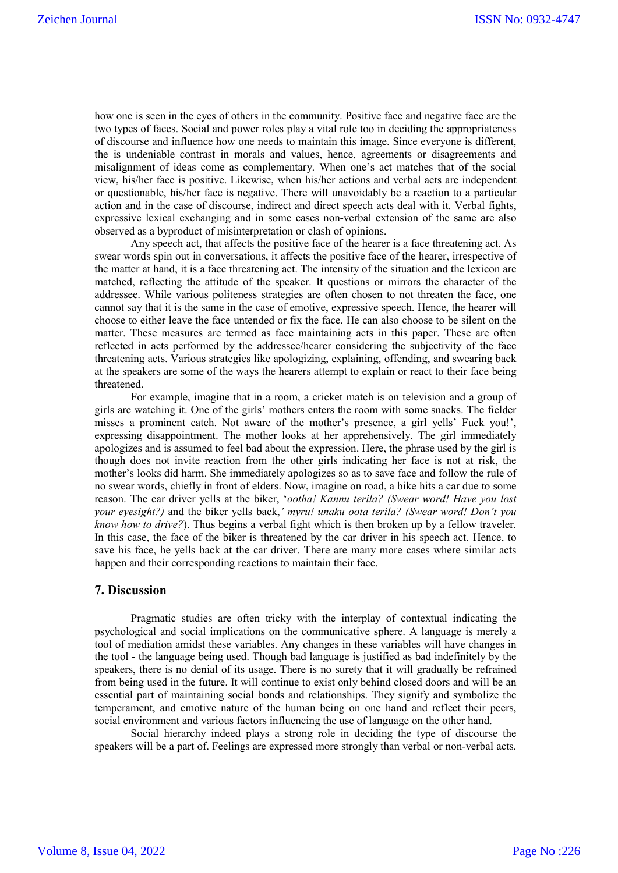how one is seen in the eyes of others in the community. Positive face and negative face are the two types of faces. Social and power roles play a vital role too in deciding the appropriateness of discourse and influence how one needs to maintain this image. Since everyone is different, the is undeniable contrast in morals and values, hence, agreements or disagreements and misalignment of ideas come as complementary. When one's act matches that of the social view, his/her face is positive. Likewise, when his/her actions and verbal acts are independent or questionable, his/her face is negative. There will unavoidably be a reaction to a particular action and in the case of discourse, indirect and direct speech acts deal with it. Verbal fights, expressive lexical exchanging and in some cases non-verbal extension of the same are also observed as a byproduct of misinterpretation or clash of opinions.

Any speech act, that affects the positive face of the hearer is a face threatening act. As swear words spin out in conversations, it affects the positive face of the hearer, irrespective of the matter at hand, it is a face threatening act. The intensity of the situation and the lexicon are matched, reflecting the attitude of the speaker. It questions or mirrors the character of the addressee. While various politeness strategies are often chosen to not threaten the face, one cannot say that it is the same in the case of emotive, expressive speech. Hence, the hearer will choose to either leave the face untended or fix the face. He can also choose to be silent on the matter. These measures are termed as face maintaining acts in this paper. These are often reflected in acts performed by the addressee/hearer considering the subjectivity of the face threatening acts. Various strategies like apologizing, explaining, offending, and swearing back at the speakers are some of the ways the hearers attempt to explain or react to their face being threatened.

For example, imagine that in a room, a cricket match is on television and a group of girls are watching it. One of the girls' mothers enters the room with some snacks. The fielder misses a prominent catch. Not aware of the mother's presence, a girl yells' Fuck you!', expressing disappointment. The mother looks at her apprehensively. The girl immediately apologizes and is assumed to feel bad about the expression. Here, the phrase used by the girl is though does not invite reaction from the other girls indicating her face is not at risk, the mother's looks did harm. She immediately apologizes so as to save face and follow the rule of no swear words, chiefly in front of elders. Now, imagine on road, a bike hits a car due to some reason. The car driver yells at the biker, '*ootha! Kannu terila? (Swear word! Have you lost your eyesight?)* and the biker yells back,*' myru! unaku oota terila? (Swear word! Don't you know how to drive?*). Thus begins a verbal fight which is then broken up by a fellow traveler. In this case, the face of the biker is threatened by the car driver in his speech act. Hence, to save his face, he yells back at the car driver. There are many more cases where similar acts happen and their corresponding reactions to maintain their face.

#### **7. Discussion**

Pragmatic studies are often tricky with the interplay of contextual indicating the psychological and social implications on the communicative sphere. A language is merely a tool of mediation amidst these variables. Any changes in these variables will have changes in the tool - the language being used. Though bad language is justified as bad indefinitely by the speakers, there is no denial of its usage. There is no surety that it will gradually be refrained from being used in the future. It will continue to exist only behind closed doors and will be an essential part of maintaining social bonds and relationships. They signify and symbolize the temperament, and emotive nature of the human being on one hand and reflect their peers, social environment and various factors influencing the use of language on the other hand.

Social hierarchy indeed plays a strong role in deciding the type of discourse the speakers will be a part of. Feelings are expressed more strongly than verbal or non-verbal acts.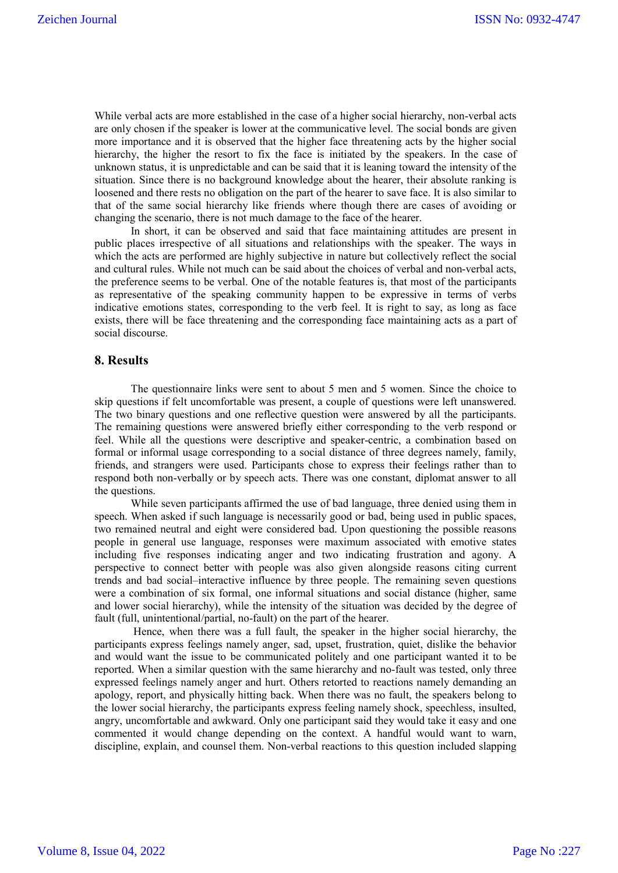While verbal acts are more established in the case of a higher social hierarchy, non-verbal acts are only chosen if the speaker is lower at the communicative level. The social bonds are given more importance and it is observed that the higher face threatening acts by the higher social hierarchy, the higher the resort to fix the face is initiated by the speakers. In the case of unknown status, it is unpredictable and can be said that it is leaning toward the intensity of the situation. Since there is no background knowledge about the hearer, their absolute ranking is loosened and there rests no obligation on the part of the hearer to save face. It is also similar to that of the same social hierarchy like friends where though there are cases of avoiding or changing the scenario, there is not much damage to the face of the hearer.

In short, it can be observed and said that face maintaining attitudes are present in public places irrespective of all situations and relationships with the speaker. The ways in which the acts are performed are highly subjective in nature but collectively reflect the social and cultural rules. While not much can be said about the choices of verbal and non-verbal acts, the preference seems to be verbal. One of the notable features is, that most of the participants as representative of the speaking community happen to be expressive in terms of verbs indicative emotions states, corresponding to the verb feel. It is right to say, as long as face exists, there will be face threatening and the corresponding face maintaining acts as a part of social discourse.

## **8. Results**

The questionnaire links were sent to about 5 men and 5 women. Since the choice to skip questions if felt uncomfortable was present, a couple of questions were left unanswered. The two binary questions and one reflective question were answered by all the participants. The remaining questions were answered briefly either corresponding to the verb respond or feel. While all the questions were descriptive and speaker-centric, a combination based on formal or informal usage corresponding to a social distance of three degrees namely, family, friends, and strangers were used. Participants chose to express their feelings rather than to respond both non-verbally or by speech acts. There was one constant, diplomat answer to all the questions.

While seven participants affirmed the use of bad language, three denied using them in speech. When asked if such language is necessarily good or bad, being used in public spaces, two remained neutral and eight were considered bad. Upon questioning the possible reasons people in general use language, responses were maximum associated with emotive states including five responses indicating anger and two indicating frustration and agony. A perspective to connect better with people was also given alongside reasons citing current trends and bad social–interactive influence by three people. The remaining seven questions were a combination of six formal, one informal situations and social distance (higher, same and lower social hierarchy), while the intensity of the situation was decided by the degree of fault (full, unintentional/partial, no-fault) on the part of the hearer.

 Hence, when there was a full fault, the speaker in the higher social hierarchy, the participants express feelings namely anger, sad, upset, frustration, quiet, dislike the behavior and would want the issue to be communicated politely and one participant wanted it to be reported. When a similar question with the same hierarchy and no-fault was tested, only three expressed feelings namely anger and hurt. Others retorted to reactions namely demanding an apology, report, and physically hitting back. When there was no fault, the speakers belong to the lower social hierarchy, the participants express feeling namely shock, speechless, insulted, angry, uncomfortable and awkward. Only one participant said they would take it easy and one commented it would change depending on the context. A handful would want to warn, discipline, explain, and counsel them. Non-verbal reactions to this question included slapping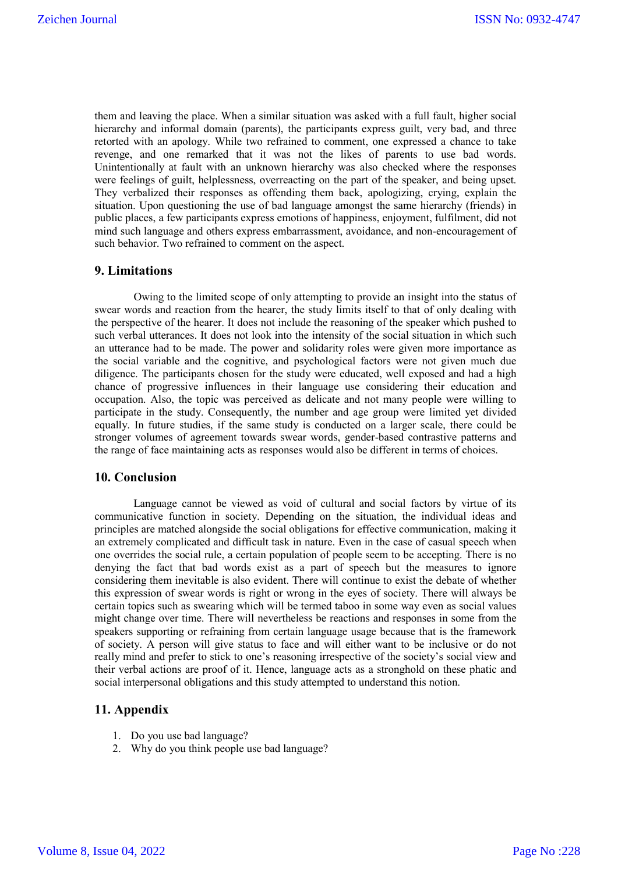them and leaving the place. When a similar situation was asked with a full fault, higher social hierarchy and informal domain (parents), the participants express guilt, very bad, and three retorted with an apology. While two refrained to comment, one expressed a chance to take revenge, and one remarked that it was not the likes of parents to use bad words. Unintentionally at fault with an unknown hierarchy was also checked where the responses were feelings of guilt, helplessness, overreacting on the part of the speaker, and being upset. They verbalized their responses as offending them back, apologizing, crying, explain the situation. Upon questioning the use of bad language amongst the same hierarchy (friends) in public places, a few participants express emotions of happiness, enjoyment, fulfilment, did not mind such language and others express embarrassment, avoidance, and non-encouragement of such behavior. Two refrained to comment on the aspect.

#### **9. Limitations**

Owing to the limited scope of only attempting to provide an insight into the status of swear words and reaction from the hearer, the study limits itself to that of only dealing with the perspective of the hearer. It does not include the reasoning of the speaker which pushed to such verbal utterances. It does not look into the intensity of the social situation in which such an utterance had to be made. The power and solidarity roles were given more importance as the social variable and the cognitive, and psychological factors were not given much due diligence. The participants chosen for the study were educated, well exposed and had a high chance of progressive influences in their language use considering their education and occupation. Also, the topic was perceived as delicate and not many people were willing to participate in the study. Consequently, the number and age group were limited yet divided equally. In future studies, if the same study is conducted on a larger scale, there could be stronger volumes of agreement towards swear words, gender-based contrastive patterns and the range of face maintaining acts as responses would also be different in terms of choices.

#### **10. Conclusion**

 Language cannot be viewed as void of cultural and social factors by virtue of its communicative function in society. Depending on the situation, the individual ideas and principles are matched alongside the social obligations for effective communication, making it an extremely complicated and difficult task in nature. Even in the case of casual speech when one overrides the social rule, a certain population of people seem to be accepting. There is no denying the fact that bad words exist as a part of speech but the measures to ignore considering them inevitable is also evident. There will continue to exist the debate of whether this expression of swear words is right or wrong in the eyes of society. There will always be certain topics such as swearing which will be termed taboo in some way even as social values might change over time. There will nevertheless be reactions and responses in some from the speakers supporting or refraining from certain language usage because that is the framework of society. A person will give status to face and will either want to be inclusive or do not really mind and prefer to stick to one's reasoning irrespective of the society's social view and their verbal actions are proof of it. Hence, language acts as a stronghold on these phatic and social interpersonal obligations and this study attempted to understand this notion.

# **11. Appendix**

- 1. Do you use bad language?
- 2. Why do you think people use bad language?